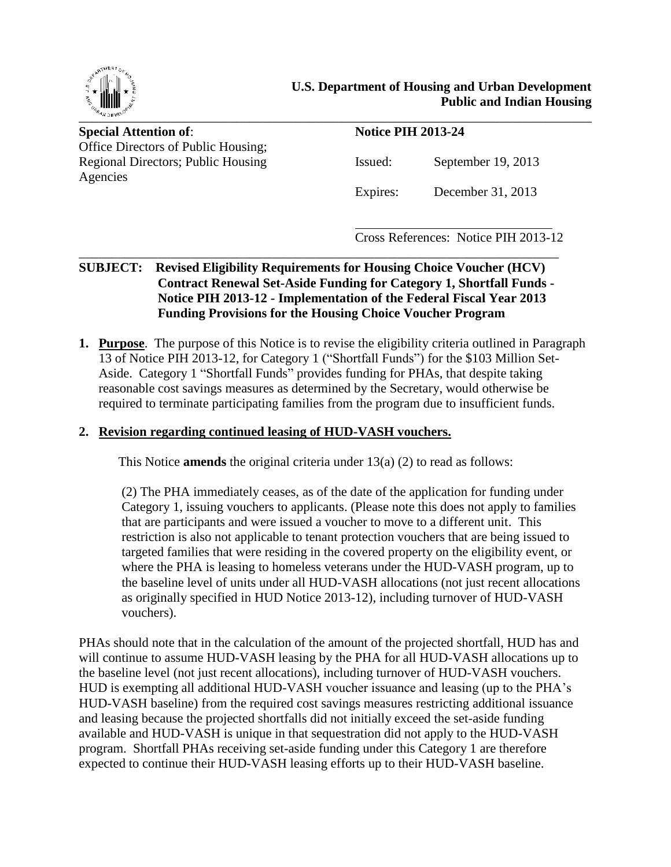

**Special Attention of: Notice PIH 2013-24** Office Directors of Public Housing; Agencies

Regional Directors; Public Housing Issued: September 19, 2013

Expires: December 31, 2013

Cross References: Notice PIH 2013-12

#### \_\_\_\_\_\_\_\_\_\_\_\_\_\_\_\_\_\_\_\_\_\_\_\_\_\_\_\_\_\_\_\_\_\_\_\_\_\_\_\_\_\_\_\_\_\_\_\_\_\_\_\_\_\_\_\_\_\_\_\_\_\_\_\_\_\_\_\_\_\_\_\_\_ **SUBJECT: Revised Eligibility Requirements for Housing Choice Voucher (HCV) Contract Renewal Set-Aside Funding for Category 1, Shortfall Funds - Notice PIH 2013-12 - Implementation of the Federal Fiscal Year 2013 Funding Provisions for the Housing Choice Voucher Program**

**1. Purpose**. The purpose of this Notice is to revise the eligibility criteria outlined in Paragraph 13 of Notice PIH 2013-12, for Category 1 ("Shortfall Funds") for the \$103 Million Set-Aside. Category 1 "Shortfall Funds" provides funding for PHAs, that despite taking reasonable cost savings measures as determined by the Secretary, would otherwise be required to terminate participating families from the program due to insufficient funds.

#### **2. Revision regarding continued leasing of HUD-VASH vouchers.**

This Notice **amends** the original criteria under 13(a) (2) to read as follows:

(2) The PHA immediately ceases, as of the date of the application for funding under Category 1, issuing vouchers to applicants. (Please note this does not apply to families that are participants and were issued a voucher to move to a different unit. This restriction is also not applicable to tenant protection vouchers that are being issued to targeted families that were residing in the covered property on the eligibility event, or where the PHA is leasing to homeless veterans under the HUD-VASH program, up to the baseline level of units under all HUD-VASH allocations (not just recent allocations as originally specified in HUD Notice 2013-12), including turnover of HUD-VASH vouchers).

PHAs should note that in the calculation of the amount of the projected shortfall, HUD has and will continue to assume HUD-VASH leasing by the PHA for all HUD-VASH allocations up to the baseline level (not just recent allocations), including turnover of HUD-VASH vouchers. HUD is exempting all additional HUD-VASH voucher issuance and leasing (up to the PHA's HUD-VASH baseline) from the required cost savings measures restricting additional issuance and leasing because the projected shortfalls did not initially exceed the set-aside funding available and HUD-VASH is unique in that sequestration did not apply to the HUD-VASH program. Shortfall PHAs receiving set-aside funding under this Category 1 are therefore expected to continue their HUD-VASH leasing efforts up to their HUD-VASH baseline.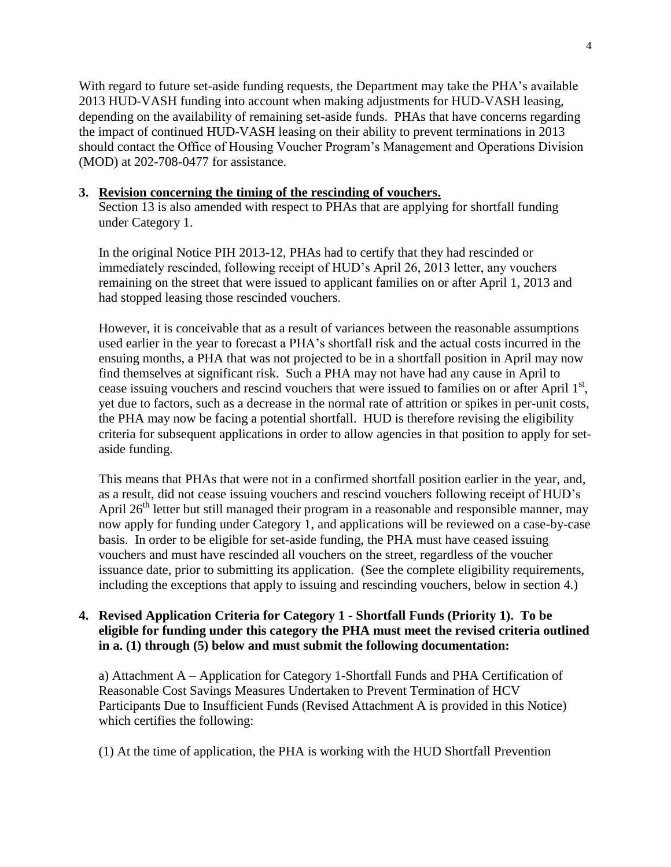With regard to future set-aside funding requests, the Department may take the PHA's available 2013 HUD-VASH funding into account when making adjustments for HUD-VASH leasing, depending on the availability of remaining set-aside funds. PHAs that have concerns regarding the impact of continued HUD-VASH leasing on their ability to prevent terminations in 2013 should contact the Office of Housing Voucher Program's Management and Operations Division (MOD) at 202-708-0477 for assistance.

#### **3. Revision concerning the timing of the rescinding of vouchers.**

Section 13 is also amended with respect to PHAs that are applying for shortfall funding under Category 1.

In the original Notice PIH 2013-12, PHAs had to certify that they had rescinded or immediately rescinded, following receipt of HUD's April 26, 2013 letter, any vouchers remaining on the street that were issued to applicant families on or after April 1, 2013 and had stopped leasing those rescinded vouchers.

However, it is conceivable that as a result of variances between the reasonable assumptions used earlier in the year to forecast a PHA's shortfall risk and the actual costs incurred in the ensuing months, a PHA that was not projected to be in a shortfall position in April may now find themselves at significant risk. Such a PHA may not have had any cause in April to cease issuing vouchers and rescind vouchers that were issued to families on or after April 1<sup>st</sup>, yet due to factors, such as a decrease in the normal rate of attrition or spikes in per-unit costs, the PHA may now be facing a potential shortfall. HUD is therefore revising the eligibility criteria for subsequent applications in order to allow agencies in that position to apply for setaside funding.

This means that PHAs that were not in a confirmed shortfall position earlier in the year, and, as a result, did not cease issuing vouchers and rescind vouchers following receipt of HUD's April  $26<sup>th</sup>$  letter but still managed their program in a reasonable and responsible manner, may now apply for funding under Category 1, and applications will be reviewed on a case-by-case basis. In order to be eligible for set-aside funding, the PHA must have ceased issuing vouchers and must have rescinded all vouchers on the street, regardless of the voucher issuance date, prior to submitting its application. (See the complete eligibility requirements, including the exceptions that apply to issuing and rescinding vouchers, below in section 4.)

## **4. Revised Application Criteria for Category 1 - Shortfall Funds (Priority 1). To be eligible for funding under this category the PHA must meet the revised criteria outlined in a. (1) through (5) below and must submit the following documentation:**

a) Attachment A – Application for Category 1-Shortfall Funds and PHA Certification of Reasonable Cost Savings Measures Undertaken to Prevent Termination of HCV Participants Due to Insufficient Funds (Revised Attachment A is provided in this Notice) which certifies the following:

(1) At the time of application, the PHA is working with the HUD Shortfall Prevention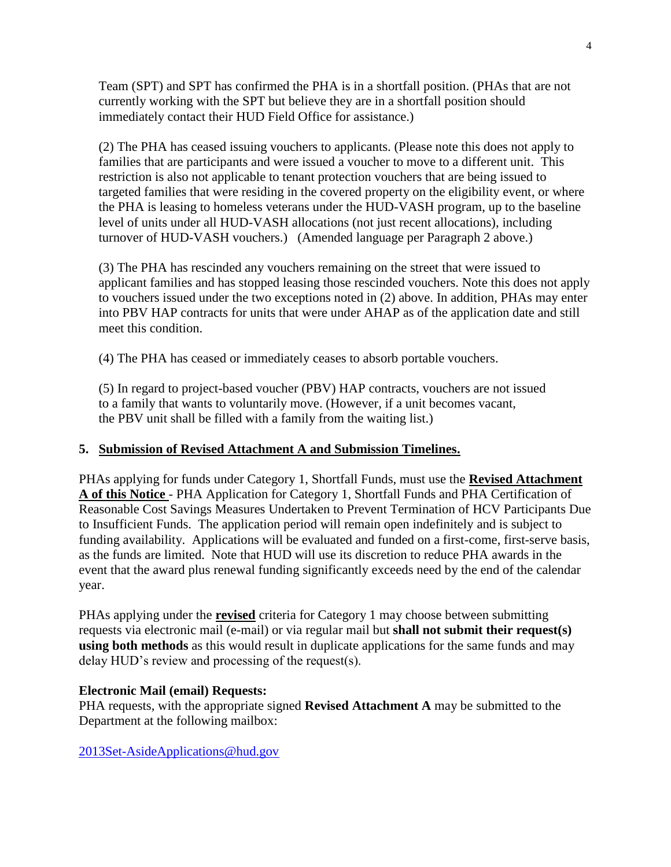Team (SPT) and SPT has confirmed the PHA is in a shortfall position. (PHAs that are not currently working with the SPT but believe they are in a shortfall position should immediately contact their HUD Field Office for assistance.)

(2) The PHA has ceased issuing vouchers to applicants. (Please note this does not apply to families that are participants and were issued a voucher to move to a different unit. This restriction is also not applicable to tenant protection vouchers that are being issued to targeted families that were residing in the covered property on the eligibility event, or where the PHA is leasing to homeless veterans under the HUD-VASH program, up to the baseline level of units under all HUD-VASH allocations (not just recent allocations), including turnover of HUD-VASH vouchers.) (Amended language per Paragraph 2 above.)

(3) The PHA has rescinded any vouchers remaining on the street that were issued to applicant families and has stopped leasing those rescinded vouchers. Note this does not apply to vouchers issued under the two exceptions noted in (2) above. In addition, PHAs may enter into PBV HAP contracts for units that were under AHAP as of the application date and still meet this condition.

(4) The PHA has ceased or immediately ceases to absorb portable vouchers.

(5) In regard to project-based voucher (PBV) HAP contracts, vouchers are not issued to a family that wants to voluntarily move. (However, if a unit becomes vacant, the PBV unit shall be filled with a family from the waiting list.)

## **5. Submission of Revised Attachment A and Submission Timelines.**

PHAs applying for funds under Category 1, Shortfall Funds, must use the **Revised Attachment A of this Notice** - PHA Application for Category 1, Shortfall Funds and PHA Certification of Reasonable Cost Savings Measures Undertaken to Prevent Termination of HCV Participants Due to Insufficient Funds. The application period will remain open indefinitely and is subject to funding availability. Applications will be evaluated and funded on a first-come, first-serve basis, as the funds are limited. Note that HUD will use its discretion to reduce PHA awards in the event that the award plus renewal funding significantly exceeds need by the end of the calendar year.

PHAs applying under the **revised** criteria for Category 1 may choose between submitting requests via electronic mail (e-mail) or via regular mail but **shall not submit their request(s) using both methods** as this would result in duplicate applications for the same funds and may delay HUD's review and processing of the request(s).

#### **Electronic Mail (email) Requests:**

PHA requests, with the appropriate signed **Revised Attachment A** may be submitted to the Department at the following mailbox:

[2013Set-AsideApplications@hud.gov](mailto:2013Set-AsideApplications@hud.gov)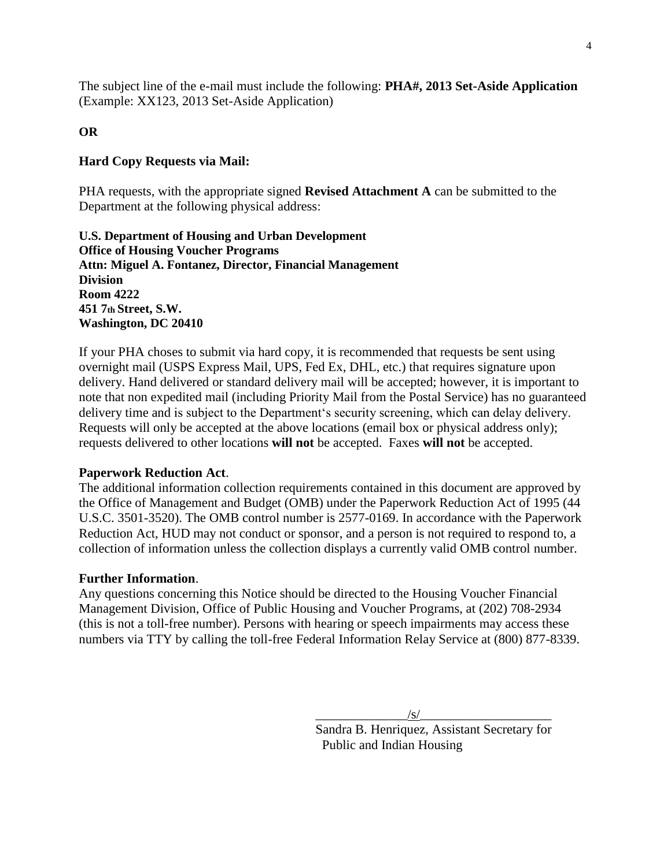The subject line of the e-mail must include the following: **PHA#, 2013 Set-Aside Application** (Example: XX123, 2013 Set-Aside Application)

#### **OR**

#### **Hard Copy Requests via Mail:**

PHA requests, with the appropriate signed **Revised Attachment A** can be submitted to the Department at the following physical address:

**U.S. Department of Housing and Urban Development Office of Housing Voucher Programs Attn: Miguel A. Fontanez, Director, Financial Management Division Room 4222 451 7th Street, S.W. Washington, DC 20410**

If your PHA choses to submit via hard copy, it is recommended that requests be sent using overnight mail (USPS Express Mail, UPS, Fed Ex, DHL, etc.) that requires signature upon delivery. Hand delivered or standard delivery mail will be accepted; however, it is important to note that non expedited mail (including Priority Mail from the Postal Service) has no guaranteed delivery time and is subject to the Department's security screening, which can delay delivery. Requests will only be accepted at the above locations (email box or physical address only); requests delivered to other locations **will not** be accepted. Faxes **will not** be accepted.

#### **Paperwork Reduction Act**.

The additional information collection requirements contained in this document are approved by the Office of Management and Budget (OMB) under the Paperwork Reduction Act of 1995 (44 U.S.C. 3501-3520). The OMB control number is 2577-0169. In accordance with the Paperwork Reduction Act, HUD may not conduct or sponsor, and a person is not required to respond to, a collection of information unless the collection displays a currently valid OMB control number.

#### **Further Information**.

Any questions concerning this Notice should be directed to the Housing Voucher Financial Management Division, Office of Public Housing and Voucher Programs, at (202) 708-2934 (this is not a toll-free number). Persons with hearing or speech impairments may access these numbers via TTY by calling the toll-free Federal Information Relay Service at (800) 877-8339.

> $\sqrt{s/}$ Sandra B. Henriquez, Assistant Secretary for Public and Indian Housing